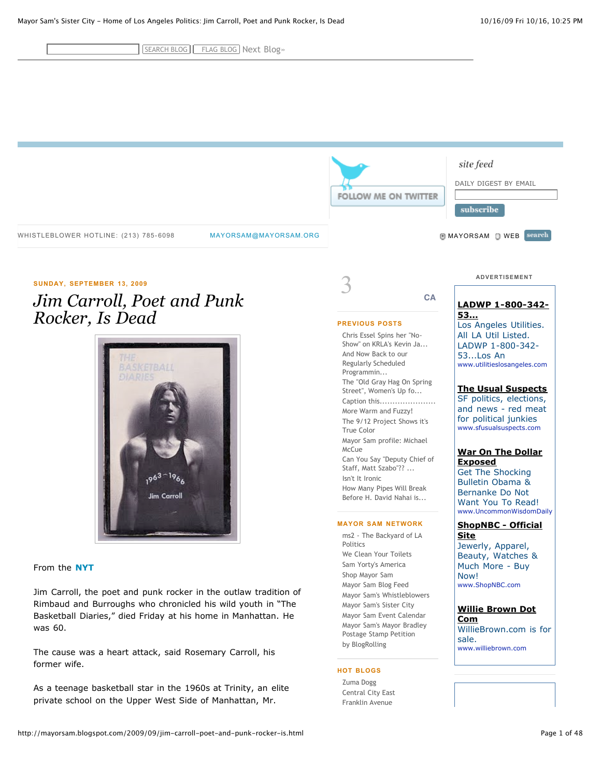SEARCH BLOG | FLAG BLOG | [Next Blog»](http://www.blogger.com/next-blog?navBar=true&blogID=8826939)

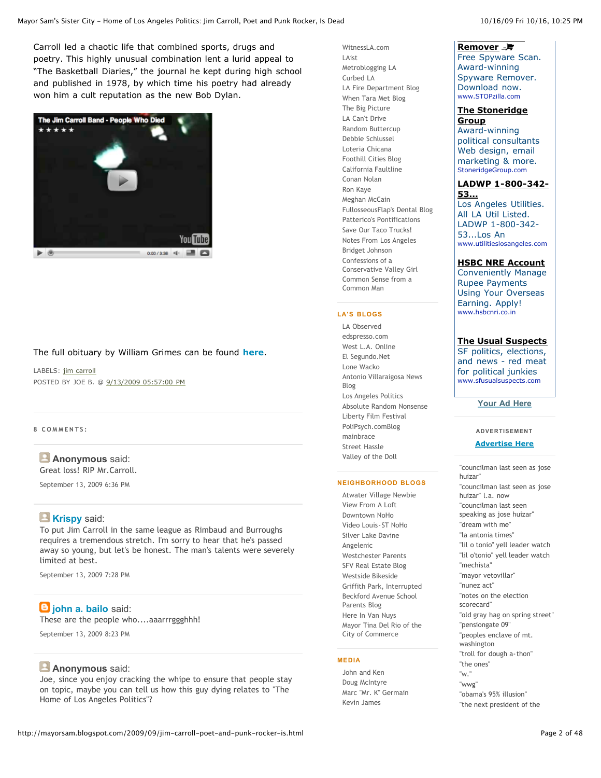Carroll led a chaotic life that combined sports, drugs and poetry. This highly unusual combination lent a lurid appeal to "The Basketball Diaries," the journal he kept during high school and published in 1978, by which time his poetry had already won him a cult reputation as the new Bob Dylan.



### The full obituary by William Grimes can be found **[here](http://www.nytimes.com/2009/09/14/books/14carroll.html?_r=1)**.

LABELS: [jim carroll](http://mayorsam.blogspot.com/search/label/Jim%20Carroll) POSTED BY JOE B. @ [9/13/2009 05:57:00 PM](http://mayorsam.blogspot.com/2009/09/jim-carroll-poet-and-punk-rocker-is.html)

**8 C O M M E N T S :**

# **Anonymous** said:

Great loss! RIP Mr.Carroll.

[September 13, 2009 6:36 PM](http://mayorsam.blogspot.com/2009/09/jim-carroll-poet-and-punk-rocker-is.html#3212194746887353410)

# **[Krispy](http://www.fistfulofdonuts.com/)** said:

To put Jim Carroll in the same league as Rimbaud and Burroughs requires a tremendous stretch. I'm sorry to hear that he's passed away so young, but let's be honest. The man's talents were severely limited at best.

[September 13, 2009 7:28 PM](http://mayorsam.blogspot.com/2009/09/jim-carroll-poet-and-punk-rocker-is.html#5620976681048174551)

# **[john a. bailo](http://www.blogger.com/profile/01856116708814148994)** said:

These are the people who....aaarrrggghhh! [September 13, 2009 8:23 PM](http://mayorsam.blogspot.com/2009/09/jim-carroll-poet-and-punk-rocker-is.html#3608295875011880444)

### **Anonymous** said:

Joe, since you enjoy cracking the whipe to ensure that people stay on topic, maybe you can tell us how this guy dying relates to "The Home of Los Angeles Politics"?

[WitnessLA.com](http://rpc.blogrolling.com/redirect.php?r=646cced582ed16ac16008044e1803dd5&url=http%3A%2F%2Fwitnessla.com%2F) [LAist](http://rpc.blogrolling.com/redirect.php?r=646cced582ed16ac16008044e1803dd5&url=http%3A%2F%2Fwww.laist.com%2F) [Metroblogging LA](http://rpc.blogrolling.com/redirect.php?r=646cced582ed16ac16008044e1803dd5&url=http%3A%2F%2Fblogging.la%2F) [Curbed LA](http://rpc.blogrolling.com/redirect.php?r=646cced582ed16ac16008044e1803dd5&url=http%3A%2F%2Fla.curbed.com%2F) [LA Fire Department Blog](http://rpc.blogrolling.com/redirect.php?r=646cced582ed16ac16008044e1803dd5&url=http%3A%2F%2Flafd.blogspot.com%2F) [When Tara Met Blog](http://rpc.blogrolling.com/redirect.php?r=646cced582ed16ac16008044e1803dd5&url=http%3A%2F%2Fwww.tarametblog.com%2F) [The Big Picture](http://rpc.blogrolling.com/redirect.php?r=646cced582ed16ac16008044e1803dd5&url=http%3A%2F%2Fwww.bigpicweblog.com%2F) [LA Can't Drive](http://rpc.blogrolling.com/redirect.php?r=646cced582ed16ac16008044e1803dd5&url=http%3A%2F%2Fwww.lacantdrive.com%2F) [Random Buttercup](http://rpc.blogrolling.com/redirect.php?r=646cced582ed16ac16008044e1803dd5&url=http%3A%2F%2Fwww.randombuttercup.com%2F) [Debbie Schlussel](http://rpc.blogrolling.com/redirect.php?r=646cced582ed16ac16008044e1803dd5&url=http%3A%2F%2Fwww.debbieschlussel.com%2F) [Loteria Chicana](http://rpc.blogrolling.com/redirect.php?r=646cced582ed16ac16008044e1803dd5&url=http%3A%2F%2Floteriachicana.net%2F) [Foothill Cities Blog](http://rpc.blogrolling.com/redirect.php?r=646cced582ed16ac16008044e1803dd5&url=http%3A%2F%2Fthefcblog.com%2F) [California Faultline](http://rpc.blogrolling.com/redirect.php?r=646cced582ed16ac16008044e1803dd5&url=http%3A%2F%2Fcaliforniafaultline.wordpress.com%2F) [Conan Nolan](http://rpc.blogrolling.com/redirect.php?r=646cced582ed16ac16008044e1803dd5&url=http%3A%2F%2Fwww.knbc.com%2Fcapoliticsraw%2Findex.html%3Fdl%3Dmainclick) [Ron Kaye](http://rpc.blogrolling.com/redirect.php?r=646cced582ed16ac16008044e1803dd5&url=http%3A%2F%2Fronkayela.com%2F) [Meghan McCain](http://rpc.blogrolling.com/redirect.php?r=646cced582ed16ac16008044e1803dd5&url=http%3A%2F%2Fwww.mccainblogette.com%2F) [FullosseousFlap's Dental Blog](http://rpc.blogrolling.com/redirect.php?r=646cced582ed16ac16008044e1803dd5&url=http%3A%2F%2Fflapsblog.com%2F) [Patterico's Pontifications](http://rpc.blogrolling.com/redirect.php?r=646cced582ed16ac16008044e1803dd5&url=http%3A%2F%2Fpatterico.com%2F) [Save Our Taco Trucks!](http://rpc.blogrolling.com/redirect.php?r=646cced582ed16ac16008044e1803dd5&url=http%3A%2F%2Fsaveourtacotrucks.org%2F) [Notes From Los Angeles](http://rpc.blogrolling.com/redirect.php?r=646cced582ed16ac16008044e1803dd5&url=http%3A%2F%2Fnotesfromla.com%2F) [Bridget Johnson](http://rpc.blogrolling.com/redirect.php?r=646cced582ed16ac16008044e1803dd5&url=http%3A%2F%2Fblogs.rockymountainnews.com%2Fbridget%2F) Confessions of a [Conservative Valley Girl](http://rpc.blogrolling.com/redirect.php?r=646cced582ed16ac16008044e1803dd5&url=http%3A%2F%2Fashleyfromla.blogspot.com%2F) [Common Sense from a](http://rpc.blogrolling.com/redirect.php?r=646cced582ed16ac16008044e1803dd5&url=http%3A%2F%2Fdouggold.blogspot.com%2F) Common Man

### **LA'S BLOGS**

[LA Observed](http://rpc.blogrolling.com/redirect.php?r=f59839a55ca7d88c10528fff485e7885&url=http%3A%2F%2Fwww.laobserved.com%2F) [edspresso.com](http://rpc.blogrolling.com/redirect.php?r=f59839a55ca7d88c10528fff485e7885&url=http%3A%2F%2Fwww.edspresso.com%2F2007%2F03%2Fmorning_shots_44.htm) [West L.A. Online](http://rpc.blogrolling.com/redirect.php?r=f59839a55ca7d88c10528fff485e7885&url=http%3A%2F%2Fjimbursch.typepad.com%2Fwestlaonline%2F) [El Segundo.Net](http://rpc.blogrolling.com/redirect.php?r=f59839a55ca7d88c10528fff485e7885&url=http%3A%2F%2Fwww.elsegundo.net%2F) [Lone Wacko](http://rpc.blogrolling.com/redirect.php?r=f59839a55ca7d88c10528fff485e7885&url=http%3A%2F%2Flonewacko.com%2Fblog%2Findex.html) [Antonio Villaraigosa News](http://rpc.blogrolling.com/redirect.php?r=f59839a55ca7d88c10528fff485e7885&url=http%3A%2F%2Fwecleanyourtoilets.blogspot.com%2F) Blog [Los Angeles Politics](http://rpc.blogrolling.com/redirect.php?r=f59839a55ca7d88c10528fff485e7885&url=http%3A%2F%2Fmayorsam.blogspot.com%2F) [Absolute Random Nonsense](http://rpc.blogrolling.com/redirect.php?r=f59839a55ca7d88c10528fff485e7885&url=%09http%3A%2F%2Fabsoluterandomnonsense.blogspot.com%2F) [Liberty Film Festival](http://rpc.blogrolling.com/redirect.php?r=f59839a55ca7d88c10528fff485e7885&url=http%3A%2F%2Fwww.libertyfilmfestival.com%2Flibertas%2F) [PoliPsych.comBlog](http://rpc.blogrolling.com/redirect.php?r=f59839a55ca7d88c10528fff485e7885&url=http%3A%2F%2Fwww.polipsych.com%2F) [mainbrace](http://rpc.blogrolling.com/redirect.php?r=f59839a55ca7d88c10528fff485e7885&url=http%3A%2F%2Fmainbrace.blogspot.com%2F) [Street Hassle](http://rpc.blogrolling.com/redirect.php?r=f59839a55ca7d88c10528fff485e7885&url=http%3A%2F%2Fstreet-hassle.blogspot.com%2F) [Valley of the Doll](http://rpc.blogrolling.com/redirect.php?r=f59839a55ca7d88c10528fff485e7885&url=http%3A%2F%2Fvalleydollshouse.blogspot.com%2F)

#### **NEIGHBORHOOD BLOGS**

[Atwater Village Newbie](http://rpc.blogrolling.com/redirect.php?r=703cd0bc61eed9c350ff7968993b3114&url=http%3A%2F%2Fatwater-village.blogspot.com%2F) [View From A Loft](http://rpc.blogrolling.com/redirect.php?r=703cd0bc61eed9c350ff7968993b3114&url=http%3A%2F%2Fviewfromaloft.typepad.com%2F) [Downtown NoHo](http://rpc.blogrolling.com/redirect.php?r=703cd0bc61eed9c350ff7968993b3114&url=http%3A%2F%2Fdowntownnoho.blogspot.com%2F) [Video Louis-ST NoHo](http://rpc.blogrolling.com/redirect.php?r=703cd0bc61eed9c350ff7968993b3114&url=http%3A%2F%2Fst-noho.blogspot.com%2F) [Silver Lake Davine](http://rpc.blogrolling.com/redirect.php?r=703cd0bc61eed9c350ff7968993b3114&url=http%3A%2F%2Fsilverlakedavine.blogspot.com%2F) [Angelenic](http://rpc.blogrolling.com/redirect.php?r=703cd0bc61eed9c350ff7968993b3114&url=http%3A%2F%2Fwww.angelenic.com%2F) [Westchester Parents](http://rpc.blogrolling.com/redirect.php?r=703cd0bc61eed9c350ff7968993b3114&url=http%3A%2F%2Fwww.westchesterparents.org) [SFV Real Estate Blog](http://rpc.blogrolling.com/redirect.php?r=703cd0bc61eed9c350ff7968993b3114&url=http%3A%2F%2Fsfvrealestate.blogspot.com%2F) [Westside Bikeside](http://rpc.blogrolling.com/redirect.php?r=703cd0bc61eed9c350ff7968993b3114&url=http%3A%2F%2Fwww.westsidebikeside.com%2F) [Griffith Park, Interrupted](http://rpc.blogrolling.com/redirect.php?r=703cd0bc61eed9c350ff7968993b3114&url=http%3A%2F%2Fdonnabarstow.com%2Fpark_blog%2F) [Beckford Avenue School](http://rpc.blogrolling.com/redirect.php?r=703cd0bc61eed9c350ff7968993b3114&url=http%3A%2F%2Fbeckfordparents.blogspot.com%2F) Parents Blog [Here In Van Nuys](http://rpc.blogrolling.com/redirect.php?r=703cd0bc61eed9c350ff7968993b3114&url=http%3A%2F%2Fhereinvannuys.wordpress.com%2F) [Mayor Tina Del Rio of the](http://rpc.blogrolling.com/redirect.php?r=703cd0bc61eed9c350ff7968993b3114&url=http%3A%2F%2Fmayortinadelrio.blogspot.com%2F) City of Commerce

#### **MEDIA**

[John and Ken](http://rpc.blogrolling.com/redirect.php?r=400ecdea28a15338e5d5576e4cebba03&url=http%3A%2F%2Fwww.johnandkenshow.com%2F) [Doug McIntyre](http://rpc.blogrolling.com/redirect.php?r=400ecdea28a15338e5d5576e4cebba03&url=http%3A%2F%2Fwww.kabc.com%2Fshowdj.asp%3FDJID%3D4003) [Marc "Mr. K" Germain](http://rpc.blogrolling.com/redirect.php?r=400ecdea28a15338e5d5576e4cebba03&url=http%3A%2F%2Fwww.marcgermain.com%2F) [Kevin James](http://rpc.blogrolling.com/redirect.php?r=400ecdea28a15338e5d5576e4cebba03&url=http%3A%2F%2Fwww.krla870.com%2Fsubpage.asp%3FStationId%3DKRLA-AM%26PageNo%3D35)

[Remover](http://googleads.g.doubleclick.net/aclk?sa=l&ai=BvjoByCrZSo62Eoq7lQfNs_l35JSJgwGmlPPVD_yrj-ADsOtUEAEYASCzqp4CKAU4AFCb9vnBB2DJxqmLwKTYD6AB9cq5_wOyARVtYXlvcnNhbS5ibG9nc3BvdC5jb226AQoxNjB4NjAwX2FzyAEB2gFNaHR0cDovL21heW9yc2FtLmJsb2dzcG90LmNvbS8yMDA5LzA5L2ppbS1jYXJyb2xsLXBvZXQtYW5kLXB1bmstcm9ja2VyLWlzLmh0bWzgAQOAAgHAAgHQAgGoAwGwA5KVoAbIAwf1AwgAAIQ&num=1&sig=AGiWqtyuwPgtUuL5E4Zp8IQIglKQeZELPg&client=ca-pub-6882571339847949&adurl=http://www.stopzilla.com/products/stopzilla/infection-removal.do%3FAID%3D10328%26cid%3D) <sub>--</sub>厚 Free Spyware Scan. Award-winning Spyware Remover. Download now. www.STOPzilla.com

#### **[The Stoneridge](http://googleads.g.doubleclick.net/aclk?sa=l&ai=BIfmXyCrZSo62Eoq7lQfNs_l3hIiosgHGgOCcDsCNtwHw_TkQAhgCILOqngIoBTgAUPfNt6YCYMnGqYvApNgPsgEVbWF5b3JzYW0uYmxvZ3Nwb3QuY29tugEKMTYweDYwMF9hc8gBAdoBTWh0dHA6Ly9tYXlvcnNhbS5ibG9nc3BvdC5jb20vMjAwOS8wOS9qaW0tY2Fycm9sbC1wb2V0LWFuZC1wdW5rLXJvY2tlci1pcy5odG1s4AEDgAIBqAMBsAOSlaAGyAMH9QMIAACE&num=2&sig=AGiWqtwtco1fstVXd8PO9JWmMtLIIkVMTA&client=ca-pub-6882571339847949&adurl=http://www.stoneridgegroup.com/) Group**

Award-winning political consultants Web design, email marketing & more. StoneridgeGroup.com

#### **[LADWP 1-800-342-](http://googleads.g.doubleclick.net/aclk?sa=l&ai=Be8olyCrZSo62Eoq7lQfNs_l3yrnQqwGwzPe9DcCNtwGwzAsQAxgDILOqngIoBTgAUK7HueYEYMnGqYvApNgPsgEVbWF5b3JzYW0uYmxvZ3Nwb3QuY29tugEKMTYweDYwMF9hc8gBAdoBTWh0dHA6Ly9tYXlvcnNhbS5ibG9nc3BvdC5jb20vMjAwOS8wOS9qaW0tY2Fycm9sbC1wb2V0LWFuZC1wdW5rLXJvY2tlci1pcy5odG1s4AEDqAMBsAOSlaAGyAMH9QMIAACE&num=3&sig=AGiWqtxBxjLjDovGfpkYoTqcce5VNARXQg&client=ca-pub-6882571339847949&adurl=http://www.utilitieslosangeles.com) 53...**

Los Angeles Utilities. All LA Util Listed. LADWP 1-800-342- 53...Los An www.utilitieslosangeles.com

#### **[HSBC NRE Account](http://googleads.g.doubleclick.net/aclk?sa=l&ai=B3CZsyCrZSo62Eoq7lQfNs_l35cDgowHjz-SbEpX9hZkEgISfERAEGAQgs6qeAigFOABQxPL01wZgycapi8Ck2A-gAdfgh-wDsgEVbWF5b3JzYW0uYmxvZ3Nwb3QuY29tugEKMTYweDYwMF9hc8gBAdoBTWh0dHA6Ly9tYXlvcnNhbS5ibG9nc3BvdC5jb20vMjAwOS8wOS9qaW0tY2Fycm9sbC1wb2V0LWFuZC1wdW5rLXJvY2tlci1pcy5odG1s4AEDqQK_OZwQODxXPsACAcgC6cbqDKgDAbADkpWgBsgDB_UDCAAAhA&num=4&sig=AGiWqtz_n6p_rn0dE5lrKC-kocXHL5OSQw&client=ca-pub-6882571339847949&adurl=http://www.hsbcnri.co.in/lms0509/HSBC26Jun09/lp.asp%3Fwebsite%3DGOOGLE%26ads%3D0609MTUS_C1ggle%26adssize%3DPOA)**

Conveniently Manage Rupee Payments Using Your Overseas Earning. Apply! www.hsbcnri.co.in

**[The Usual Suspects](http://googleads.g.doubleclick.net/aclk?sa=l&ai=BoloEyCrZSo62Eoq7lQfNs_l3odzQD9GvspQCwI23AaDRGRAFGAUgs6qeAigFOABQu-DTsfj_____AWDJxqmLwKTYD6ABgMWz_wOyARVtYXlvcnNhbS5ibG9nc3BvdC5jb226AQoxNjB4NjAwX2FzyAEB2gFNaHR0cDovL21heW9yc2FtLmJsb2dzcG90LmNvbS8yMDA5LzA5L2ppbS1jYXJyb2xsLXBvZXQtYW5kLXB1bmstcm9ja2VyLWlzLmh0bWzgAQOoAwGwA5KVoAbIAwf1AwgAAIQ&num=5&sig=AGiWqtwdpgHO4cRqLaM4s0_xciPAQzGvhA&client=ca-pub-6882571339847949&adurl=http://www.sfusualsuspects.com)**

SF politics, elections, and news - red meat for political junkies www.sfusualsuspects.com

**[Your Ad Here](http://www.adbrite.com/mb/commerce/purchase_form.php?opid=418351&afsid=1)**

#### **ADVERTISEMENT**

**[Advertise Here](http://www.advolcano.com/buy/selectPuPo.cfm?StId=1228)**

["councilman last seen as jose](http://mayorsam.blogspot.com/search/label/%22COUNCILMAN%20LAST%20SEEN%20AS%20JOSE%20HUIZAR%22) huizar" ["councilman last seen as jose](http://mayorsam.blogspot.com/search/label/%22COUNCILMAN%20LAST%20SEEN%20AS%20JOSE%20HUIZAR%22%20L.A.%20Now) huizar" l.a. now "councilman last seen [speaking as jose huizar"](http://mayorsam.blogspot.com/search/label/%22COUNCILMAN%20LAST%20SEEN%20SPEAKING%20AS%20JOSE%20HUIZAR%22) ["dream with me"](http://mayorsam.blogspot.com/search/label/%22Dream%20with%20Me%22) ["la antonia times"](http://mayorsam.blogspot.com/search/label/%22LA%20ANTONIA%20TIMES%22) ["lil o tonio" yell leader watch](http://mayorsam.blogspot.com/search/label/%22LIL%20O%20TONIO%22%20Yell%20leader%20watch) ["lil o'tonio" yell leader watch](http://mayorsam.blogspot.com/search/label/%22LIL%20O) ["mechista"](http://mayorsam.blogspot.com/search/label/%22MEchista%22) ["mayor vetovillar"](http://mayorsam.blogspot.com/search/label/%22Mayor%20Vetovillar%22) ["nunez act"](http://mayorsam.blogspot.com/search/label/%22NUNEZ%20ACT%22) ["notes on the election](http://mayorsam.blogspot.com/search/label/%22Notes%20on%20the%20Election%20Scorecard%22) scorecard" ["old gray hag on spring street"](http://mayorsam.blogspot.com/search/label/%22OLD%20GRAY%20HAG%20ON%20SPRING%20STREET%22) ["pensiongate 09"](http://mayorsam.blogspot.com/search/label/%22Pensiongate%2009%22) ["peoples enclave of mt.](http://mayorsam.blogspot.com/search/label/%22Peoples%20Enclave%20of%20Mt.%20Washington) washington ["troll for dough a-thon"](http://mayorsam.blogspot.com/search/label/%22TROLL%20FOR%20DOUGH%20A-THON%22) ["the ones"](http://mayorsam.blogspot.com/search/label/%22The%20Ones%22) ["w."](http://mayorsam.blogspot.com/search/label/%22W.%22) ["wwg"](http://mayorsam.blogspot.com/search/label/%22WWG%22) ["obama's 95% illusion"](http://mayorsam.blogspot.com/search/label/%22obama) ["the next president of the](http://mayorsam.blogspot.com/search/label/%22the%20next%20president%20of%20the%20united%20states%22)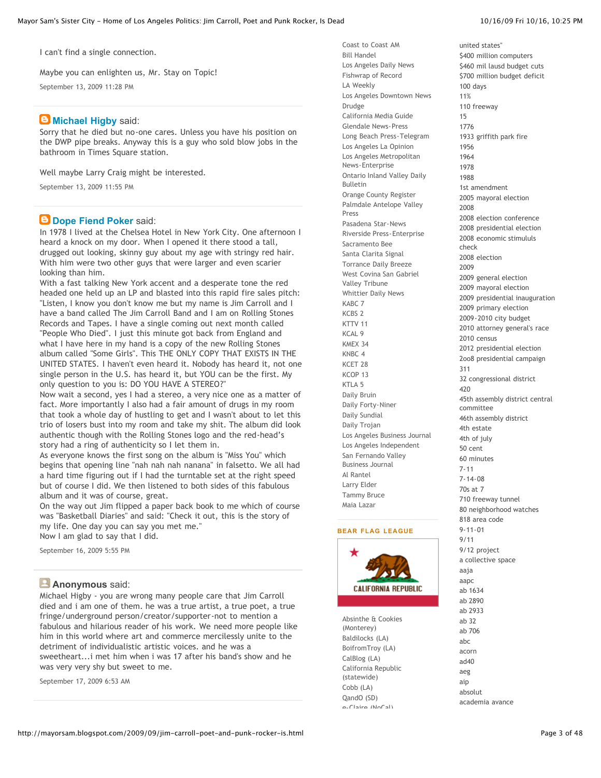Maybe you can enlighten us, Mr. Stay on Topic!

[September 13, 2009 11:28 PM](http://mayorsam.blogspot.com/2009/09/jim-carroll-poet-and-punk-rocker-is.html#5308999045144458098)

# **B** [Michael Higby](http://www.blogger.com/profile/03229225335109401795) said:

Sorry that he died but no-one cares. Unless you have his position on the DWP pipe breaks. Anyway this is a guy who sold blow jobs in the bathroom in Times Square station.

Well maybe Larry Craig might be interested.

[September 13, 2009 11:55 PM](http://mayorsam.blogspot.com/2009/09/jim-carroll-poet-and-punk-rocker-is.html#2140034656408763412)

# **[Dope Fiend Poker](http://www.blogger.com/profile/17603900389438742062) said:**

In 1978 I lived at the Chelsea Hotel in New York City. One afternoon I heard a knock on my door. When I opened it there stood a tall, drugged out looking, skinny guy about my age with stringy red hair. With him were two other guys that were larger and even scarier looking than him.

With a fast talking New York accent and a desperate tone the red headed one held up an LP and blasted into this rapid fire sales pitch: "Listen, I know you don't know me but my name is Jim Carroll and I have a band called The Jim Carroll Band and I am on Rolling Stones Records and Tapes. I have a single coming out next month called "People Who Died". I just this minute got back from England and what I have here in my hand is a copy of the new Rolling Stones album called "Some Girls". This THE ONLY COPY THAT EXISTS IN THE UNITED STATES. I haven't even heard it. Nobody has heard it, not one single person in the U.S. has heard it, but YOU can be the first. My only question to you is: DO YOU HAVE A STEREO?"

Now wait a second, yes I had a stereo, a very nice one as a matter of fact. More importantly I also had a fair amount of drugs in my room that took a whole day of hustling to get and I wasn't about to let this trio of losers bust into my room and take my shit. The album did look authentic though with the Rolling Stones logo and the red-head's story had a ring of authenticity so I let them in.

As everyone knows the first song on the album is "Miss You" which begins that opening line "nah nah nah nanana" in falsetto. We all had a hard time figuring out if I had the turntable set at the right speed but of course I did. We then listened to both sides of this fabulous album and it was of course, great.

On the way out Jim flipped a paper back book to me which of course was "Basketball Diaries" and said: "Check it out, this is the story of my life. One day you can say you met me." Now I am glad to say that I did.

[September 16, 2009 5:55 PM](http://mayorsam.blogspot.com/2009/09/jim-carroll-poet-and-punk-rocker-is.html#2260010727934033114)

### **Anonymous** said:

Michael Higby - you are wrong many people care that Jim Carroll died and i am one of them. he was a true artist, a true poet, a true fringe/underground person/creator/supporter-not to mention a fabulous and hilarious reader of his work. We need more people like him in this world where art and commerce mercilessly unite to the detriment of individualistic artistic voices. and he was a sweetheart...i met him when i was 17 after his band's show and he was very very shy but sweet to me.

[September 17, 2009 6:53 AM](http://mayorsam.blogspot.com/2009/09/jim-carroll-poet-and-punk-rocker-is.html#6773420269869961742)

[united states"](http://mayorsam.blogspot.com/search/label/%22the%20next%20president%20of%20the%20united%20states%22)

[Coast to Coast AM](http://rpc.blogrolling.com/redirect.php?r=400ecdea28a15338e5d5576e4cebba03&url=http%3A%2F%2Fwww.coasttocoastam.com%2F) [Bill Handel](http://rpc.blogrolling.com/redirect.php?r=400ecdea28a15338e5d5576e4cebba03&url=http%3A%2F%2Fwww.kfi640.com%2Fpages%2FHandel.html) [Los Angeles Daily News](http://rpc.blogrolling.com/redirect.php?r=400ecdea28a15338e5d5576e4cebba03&url=http%3A%2F%2Fwww.dailynews.com%2F) [Fishwrap of Record](http://rpc.blogrolling.com/redirect.php?r=400ecdea28a15338e5d5576e4cebba03&url=http%3A%2F%2Fwww.latimes.com%2F) [LA Weekly](http://rpc.blogrolling.com/redirect.php?r=400ecdea28a15338e5d5576e4cebba03&url=http%3A%2F%2Fwww.laweekly.com%2F) [Los Angeles Downtown News](http://rpc.blogrolling.com/redirect.php?r=400ecdea28a15338e5d5576e4cebba03&url=http%3A%2F%2Fwww.downtownnews.com%2F) [Drudge](http://rpc.blogrolling.com/redirect.php?r=400ecdea28a15338e5d5576e4cebba03&url=http%3A%2F%2Fwww.drudgereport.com%2F) [California Media Guide](http://rpc.blogrolling.com/redirect.php?r=400ecdea28a15338e5d5576e4cebba03&url=http%3A%2F%2Fwww.californiamediaguide.com%2F) [Glendale News-Press](http://rpc.blogrolling.com/redirect.php?r=400ecdea28a15338e5d5576e4cebba03&url=http%3A%2F%2Fwww.glendalenewspress.com%2F) [Long Beach Press-Telegram](http://rpc.blogrolling.com/redirect.php?r=400ecdea28a15338e5d5576e4cebba03&url=http%3A%2F%2Fwww.presstelegram.com%2F) [Los Angeles La Opinion](http://rpc.blogrolling.com/redirect.php?r=400ecdea28a15338e5d5576e4cebba03&url=http%3A%2F%2Fwww.impre.com%2Flaopinion%2Fhome.php) [Los Angeles Metropolitan](http://rpc.blogrolling.com/redirect.php?r=400ecdea28a15338e5d5576e4cebba03&url=http%3A%2F%2Fwww.metnews.com%2F) News-Enterprise [Ontario Inland Valley Daily](http://rpc.blogrolling.com/redirect.php?r=400ecdea28a15338e5d5576e4cebba03&url=http%3A%2F%2Fwww.dailybulletin.com%2F) Bulletin [Orange County Register](http://rpc.blogrolling.com/redirect.php?r=400ecdea28a15338e5d5576e4cebba03&url=http%3A%2F%2Fwww.ocregister.com%2F) [Palmdale Antelope Valley](http://rpc.blogrolling.com/redirect.php?r=400ecdea28a15338e5d5576e4cebba03&url=http%3A%2F%2Fwww.avpress.com%2F) Press [Pasadena Star-News](http://rpc.blogrolling.com/redirect.php?r=400ecdea28a15338e5d5576e4cebba03&url=http%3A%2F%2Fwww.pasadenastarnews.com%2F) [Riverside Press-Enterprise](http://rpc.blogrolling.com/redirect.php?r=400ecdea28a15338e5d5576e4cebba03&url=http%3A%2F%2Fwww.pe.com%2F) [Sacramento Bee](http://rpc.blogrolling.com/redirect.php?r=400ecdea28a15338e5d5576e4cebba03&url=http%3A%2F%2Fwww.sacbee.com%2F) [Santa Clarita Signal](http://rpc.blogrolling.com/redirect.php?r=400ecdea28a15338e5d5576e4cebba03&url=http%3A%2F%2Fwww.the-signal.com%2F) [Torrance Daily Breeze](http://rpc.blogrolling.com/redirect.php?r=400ecdea28a15338e5d5576e4cebba03&url=http%3A%2F%2Fwww.dailybreeze.com%2F) [West Covina San Gabriel](http://rpc.blogrolling.com/redirect.php?r=400ecdea28a15338e5d5576e4cebba03&url=http%3A%2F%2Fwww.sgvtribune.com%2F) Valley Tribune [Whittier Daily News](http://rpc.blogrolling.com/redirect.php?r=400ecdea28a15338e5d5576e4cebba03&url=http%3A%2F%2Fwww.whittierdailynews.com%2F) [KABC 7](http://rpc.blogrolling.com/redirect.php?r=400ecdea28a15338e5d5576e4cebba03&url=http%3A%2F%2Fabclocal.go.com%2Fkabc%2Findex) [KCBS 2](http://rpc.blogrolling.com/redirect.php?r=400ecdea28a15338e5d5576e4cebba03&url=http%3A%2F%2Fcbs2.com%2F) [KTTV 11](http://rpc.blogrolling.com/redirect.php?r=400ecdea28a15338e5d5576e4cebba03&url=http%3A%2F%2Fwww.myfoxla.com%2Fmyfox%2F) [KCAL 9](http://rpc.blogrolling.com/redirect.php?r=400ecdea28a15338e5d5576e4cebba03&url=http%3A%2F%2Fcbs2.com%2Fkcal%2F) [KMEX 34](http://rpc.blogrolling.com/redirect.php?r=400ecdea28a15338e5d5576e4cebba03&url=http%3A%2F%2Fwww.univision.com%2Fcontent%2Fchannel.jhtml%3Fchid%3D9450%26schid%3D9451) [KNBC 4](http://rpc.blogrolling.com/redirect.php?r=400ecdea28a15338e5d5576e4cebba03&url=http%3A%2F%2Fwww.knbc.com%2Findex.html) [KCET 28](http://rpc.blogrolling.com/redirect.php?r=400ecdea28a15338e5d5576e4cebba03&url=http%3A%2F%2Fwww.kcet.com%2F) [KCOP 13](http://rpc.blogrolling.com/redirect.php?r=400ecdea28a15338e5d5576e4cebba03&url=http%3A%2F%2Fwww.my13la.com%2F) [KTLA 5](http://rpc.blogrolling.com/redirect.php?r=400ecdea28a15338e5d5576e4cebba03&url=http%3A%2F%2Fktla.trb.com%2F) [Daily Bruin](http://rpc.blogrolling.com/redirect.php?r=400ecdea28a15338e5d5576e4cebba03&url=http%3A%2F%2Fdailybruin.ucla.edu%2F) [Daily Forty-Niner](http://rpc.blogrolling.com/redirect.php?r=400ecdea28a15338e5d5576e4cebba03&url=http%3A%2F%2Fwww.csulb.edu%2F%7Ed49er%2F) [Daily Sundial](http://rpc.blogrolling.com/redirect.php?r=400ecdea28a15338e5d5576e4cebba03&url=http%3A%2F%2Fsundial.csun.edu%2F) [Daily Trojan](http://rpc.blogrolling.com/redirect.php?r=400ecdea28a15338e5d5576e4cebba03&url=http%3A%2F%2Fwww.dailytrojan.com%2F) [Los Angeles Business Journal](http://rpc.blogrolling.com/redirect.php?r=400ecdea28a15338e5d5576e4cebba03&url=http%3A%2F%2Fwww.labusinessjournal.com%2F) [Los Angeles Independent](http://rpc.blogrolling.com/redirect.php?r=400ecdea28a15338e5d5576e4cebba03&url=http%3A%2F%2Fwww.laindependent.com%2F) [San Fernando Valley](http://rpc.blogrolling.com/redirect.php?r=400ecdea28a15338e5d5576e4cebba03&url=http%3A%2F%2Fwww.sfvbj.com%2F) Business Journal [Al Rantel](http://rpc.blogrolling.com/redirect.php?r=400ecdea28a15338e5d5576e4cebba03&url=http%3A%2F%2Fwww.alrantel.com%2F) [Larry Elder](http://rpc.blogrolling.com/redirect.php?r=400ecdea28a15338e5d5576e4cebba03&url=http%3A%2F%2Fwww.larryelder.com%2F) [Tammy Bruce](http://rpc.blogrolling.com/redirect.php?r=400ecdea28a15338e5d5576e4cebba03&url=http%3A%2F%2Ftammybruce.com%2F) [Maia Lazar](http://rpc.blogrolling.com/redirect.php?r=400ecdea28a15338e5d5576e4cebba03&url=http%3A%2F%2Fwww.maialazar.com%2F)

#### **BEAR FLAG LEAGUE**



[Absinthe & Cookies](http://rpc.blogrolling.com/redirect.php?r=7157837ea0474f1d10412dcd9a2702ea&url=http%3A%2F%2Fbittersweet.ondragonswing.com%2F) (Monterey) [Baldilocks \(LA\)](http://rpc.blogrolling.com/redirect.php?r=7157837ea0474f1d10412dcd9a2702ea&url=http%3A%2F%2Fbaldilocks.typepad.com%2F) [BoifromTroy \(LA\)](http://rpc.blogrolling.com/redirect.php?r=7157837ea0474f1d10412dcd9a2702ea&url=http%3A%2F%2Fboifromtroy.com%2F) [CalBlog \(LA\)](http://rpc.blogrolling.com/redirect.php?r=7157837ea0474f1d10412dcd9a2702ea&url=http%3A%2F%2Fwww.calblog.com%2F) [California Republic](http://rpc.blogrolling.com/redirect.php?r=7157837ea0474f1d10412dcd9a2702ea&url=http%3A%2F%2Fwww.californiarepublic.org%2FCROBlog%2FCROblog.html) (statewide) [Cobb \(LA\)](http://rpc.blogrolling.com/redirect.php?r=7157837ea0474f1d10412dcd9a2702ea&url=http%3A%2F%2Fcobb.typepad.com%2F) [QandO \(SD\)](http://rpc.blogrolling.com/redirect.php?r=7157837ea0474f1d10412dcd9a2702ea&url=http%3A%2F%2Fwww.qando.net%2Fblog%2F) [e-Claire \(NoCal\)](http://rpc.blogrolling.com/redirect.php?r=7157837ea0474f1d10412dcd9a2702ea&url=http%3A%2F%2Fwww.e-biscuit.com%2F)

[\\$400 million computers](http://mayorsam.blogspot.com/search/label/%24400%20million%20computers) [\\$460 mil lausd budget cuts](http://mayorsam.blogspot.com/search/label/%24460%20mil%20lausd%20budget%20cuts) [\\$700 million budget deficit](http://mayorsam.blogspot.com/search/label/%24700%20million%20budget%20deficit) [100 days](http://mayorsam.blogspot.com/search/label/100%20days) [11%](http://mayorsam.blogspot.com/search/label/11%25) [110 freeway](http://mayorsam.blogspot.com/search/label/110%20freeway) [15](http://mayorsam.blogspot.com/search/label/15) [1776](http://mayorsam.blogspot.com/search/label/1776) [1933 griffith park fire](http://mayorsam.blogspot.com/search/label/1933%20Griffith%20Park%20fire) [1956](http://mayorsam.blogspot.com/search/label/1956) [1964](http://mayorsam.blogspot.com/search/label/1964) [1978](http://mayorsam.blogspot.com/search/label/1978) [1988](http://mayorsam.blogspot.com/search/label/1988) [1st amendment](http://mayorsam.blogspot.com/search/label/1st%20Amendment) [2005 mayoral election](http://mayorsam.blogspot.com/search/label/2005%20Mayoral%20Election) [2008](http://mayorsam.blogspot.com/search/label/2008) [2008 election conference](http://mayorsam.blogspot.com/search/label/2008%20Election%20Conference) [2008 presidential election](http://mayorsam.blogspot.com/search/label/2008%20Presidential%20Election) [2008 economic stimululs](http://mayorsam.blogspot.com/search/label/2008%20economic%20stimululs%20check) check [2008 election](http://mayorsam.blogspot.com/search/label/2008%20election) [2009](http://mayorsam.blogspot.com/search/label/2009) [2009 general election](http://mayorsam.blogspot.com/search/label/2009%20General%20Election) [2009 mayoral election](http://mayorsam.blogspot.com/search/label/2009%20mayoral%20election) [2009 presidential inauguration](http://mayorsam.blogspot.com/search/label/2009%20presidential%20inauguration) [2009 primary election](http://mayorsam.blogspot.com/search/label/2009%20primary%20election) [2009-2010 city budget](http://mayorsam.blogspot.com/search/label/2009-2010%20City%20Budget) [2010 attorney general's race](http://mayorsam.blogspot.com/search/label/2010%20Attorney%20General) [2010 census](http://mayorsam.blogspot.com/search/label/2010%20census) [2012 presidential election](http://mayorsam.blogspot.com/search/label/2012%20presidential%20election) [2oo8 presidential campaign](http://mayorsam.blogspot.com/search/label/2oo8%20presidential%20campaign) [311](http://mayorsam.blogspot.com/search/label/311) [32 congressional district](http://mayorsam.blogspot.com/search/label/32%20Congressional%20District) [420](http://mayorsam.blogspot.com/search/label/420) [45th assembly district central](http://mayorsam.blogspot.com/search/label/45th%20assembly%20district%20central%20committee) committee [46th assembly district](http://mayorsam.blogspot.com/search/label/46th%20Assembly%20District) [4th estate](http://mayorsam.blogspot.com/search/label/4th%20Estate) [4th of july](http://mayorsam.blogspot.com/search/label/4th%20of%20july) [50 cent](http://mayorsam.blogspot.com/search/label/50%20cent) [60 minutes](http://mayorsam.blogspot.com/search/label/60%20minutes) [7-11](http://mayorsam.blogspot.com/search/label/7-11) [7-14-08](http://mayorsam.blogspot.com/search/label/7-14-08) [70s at 7](http://mayorsam.blogspot.com/search/label/70s%20at%207) [710 freeway tunnel](http://mayorsam.blogspot.com/search/label/710%20Freeway%20tunnel) [80 neighborhood watches](http://mayorsam.blogspot.com/search/label/80%20Neighborhood%20Watches) [818 area code](http://mayorsam.blogspot.com/search/label/818%20area%20code) [9-11-01](http://mayorsam.blogspot.com/search/label/9-11-01) [9/11](http://mayorsam.blogspot.com/search/label/9%2F11) [9/12 project](http://mayorsam.blogspot.com/search/label/9%2F12%20Project) [a collective space](http://mayorsam.blogspot.com/search/label/A%20Collective%20SPACE) [aaja](http://mayorsam.blogspot.com/search/label/AAJA) [aapc](http://mayorsam.blogspot.com/search/label/AAPC) [ab 1634](http://mayorsam.blogspot.com/search/label/AB%201634) [ab 2890](http://mayorsam.blogspot.com/search/label/AB%202890) [ab 2933](http://mayorsam.blogspot.com/search/label/AB%202933) [ab 32](http://mayorsam.blogspot.com/search/label/AB%2032) [ab 706](http://mayorsam.blogspot.com/search/label/AB%20706) [abc](http://mayorsam.blogspot.com/search/label/ABC) [acorn](http://mayorsam.blogspot.com/search/label/ACORN) [ad40](http://mayorsam.blogspot.com/search/label/AD40) [aeg](http://mayorsam.blogspot.com/search/label/AEG) [aip](http://mayorsam.blogspot.com/search/label/AIP) [absolut](http://mayorsam.blogspot.com/search/label/Absolut) [academia avance](http://mayorsam.blogspot.com/search/label/Academia%20Avance)